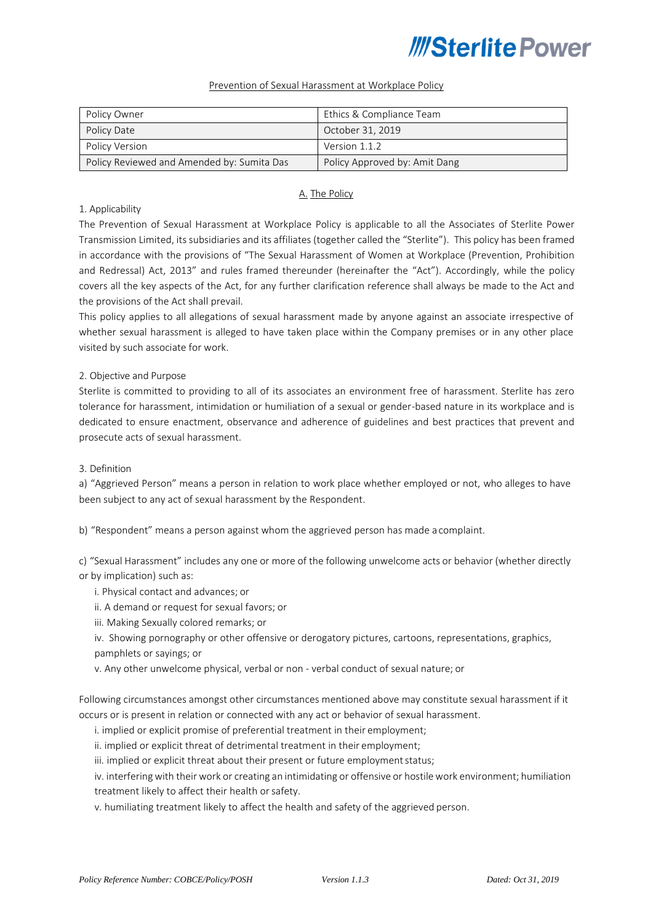#### Prevention of Sexual Harassment at Workplace Policy

| Policy Owner                               | Ethics & Compliance Team      |
|--------------------------------------------|-------------------------------|
| Policy Date                                | October 31, 2019              |
| Policy Version                             | Version 1.1.2                 |
| Policy Reviewed and Amended by: Sumita Das | Policy Approved by: Amit Dang |

### A. The Policy

#### 1. Applicability

The Prevention of Sexual Harassment at Workplace Policy is applicable to all the Associates of Sterlite Power Transmission Limited, itssubsidiaries and its affiliates (together called the "Sterlite"). This policy has been framed in accordance with the provisions of "The Sexual Harassment of Women at Workplace (Prevention, Prohibition and Redressal) Act, 2013" and rules framed thereunder (hereinafter the "Act"). Accordingly, while the policy covers all the key aspects of the Act, for any further clarification reference shall always be made to the Act and the provisions of the Act shall prevail.

This policy applies to all allegations of sexual harassment made by anyone against an associate irrespective of whether sexual harassment is alleged to have taken place within the Company premises or in any other place visited by such associate for work.

#### 2. Objective and Purpose

Sterlite is committed to providing to all of its associates an environment free of harassment. Sterlite has zero tolerance for harassment, intimidation or humiliation of a sexual or gender-based nature in its workplace and is dedicated to ensure enactment, observance and adherence of guidelines and best practices that prevent and prosecute acts of sexual harassment.

#### 3. Definition

a) "Aggrieved Person" means a person in relation to work place whether employed or not, who alleges to have been subject to any act of sexual harassment by the Respondent.

b) "Respondent" means a person against whom the aggrieved person has made a complaint.

c) "Sexual Harassment" includes any one or more of the following unwelcome acts or behavior (whether directly or by implication) such as:

- i. Physical contact and advances; or
- ii. A demand or request for sexual favors; or
- iii. Making Sexually colored remarks; or
- iv. Showing pornography or other offensive or derogatory pictures, cartoons, representations, graphics, pamphlets or sayings; or
- v. Any other unwelcome physical, verbal or non verbal conduct of sexual nature; or

Following circumstances amongst other circumstances mentioned above may constitute sexual harassment if it occurs or is present in relation or connected with any act or behavior of sexual harassment.

- i. implied or explicit promise of preferential treatment in their employment;
- ii. implied or explicit threat of detrimental treatment in their employment;
- iii. implied or explicit threat about their present or future employment status;
- iv. interfering with their work or creating an intimidating or offensive or hostile work environment; humiliation treatment likely to affect their health or safety.
- v. humiliating treatment likely to affect the health and safety of the aggrieved person.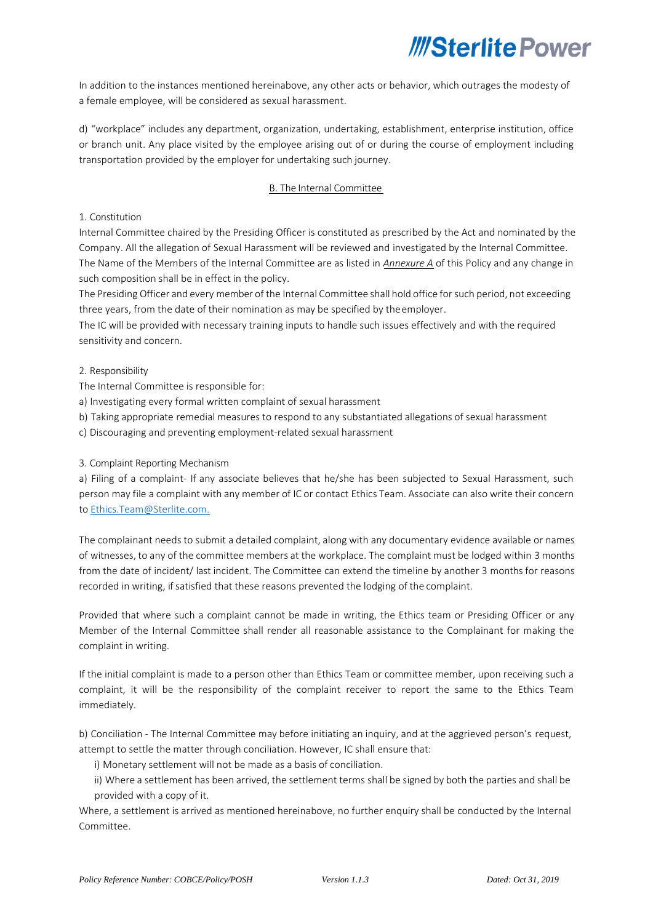In addition to the instances mentioned hereinabove, any other acts or behavior, which outrages the modesty of a female employee, will be considered as sexual harassment.

d) "workplace" includes any department, organization, undertaking, establishment, enterprise institution, office or branch unit. Any place visited by the employee arising out of or during the course of employment including transportation provided by the employer for undertaking such journey.

## B. The Internal Committee

### 1. Constitution

Internal Committee chaired by the Presiding Officer is constituted as prescribed by the Act and nominated by the Company. All the allegation of Sexual Harassment will be reviewed and investigated by the Internal Committee. The Name of the Members of the Internal Committee are as listed in *Annexure A* of this Policy and any change in such composition shall be in effect in the policy.

The Presiding Officer and every member of the Internal Committee shall hold office forsuch period, not exceeding three years, from the date of their nomination as may be specified by theemployer.

The IC will be provided with necessary training inputs to handle such issues effectively and with the required sensitivity and concern.

#### 2. Responsibility

The Internal Committee is responsible for:

- a) Investigating every formal written complaint of sexual harassment
- b) Taking appropriate remedial measures to respond to any substantiated allegations of sexual harassment
- c) Discouraging and preventing employment-related sexual harassment

### 3. Complaint Reporting Mechanism

a) Filing of a complaint- If any associate believes that he/she has been subjected to Sexual Harassment, such person may file a complaint with any member of IC or contact Ethics Team. Associate can also write their concern to [Ethics.Team@Sterlite.com.](mailto:Ethics.Team@Sterlite.com)

The complainant needs to submit a detailed complaint, along with any documentary evidence available or names of witnesses, to any of the committee members at the workplace. The complaint must be lodged within 3 months from the date of incident/ last incident. The Committee can extend the timeline by another 3 months for reasons recorded in writing, if satisfied that these reasons prevented the lodging of the complaint.

Provided that where such a complaint cannot be made in writing, the Ethics team or Presiding Officer or any Member of the Internal Committee shall render all reasonable assistance to the Complainant for making the complaint in writing.

If the initial complaint is made to a person other than Ethics Team or committee member, upon receiving such a complaint, it will be the responsibility of the complaint receiver to report the same to the Ethics Team immediately.

b) Conciliation - The Internal Committee may before initiating an inquiry, and at the aggrieved person's request, attempt to settle the matter through conciliation. However, IC shall ensure that:

i) Monetary settlement will not be made as a basis of conciliation.

ii) Where a settlement has been arrived, the settlement terms shall be signed by both the parties and shall be provided with a copy of it.

Where, a settlement is arrived as mentioned hereinabove, no further enquiry shall be conducted by the Internal Committee.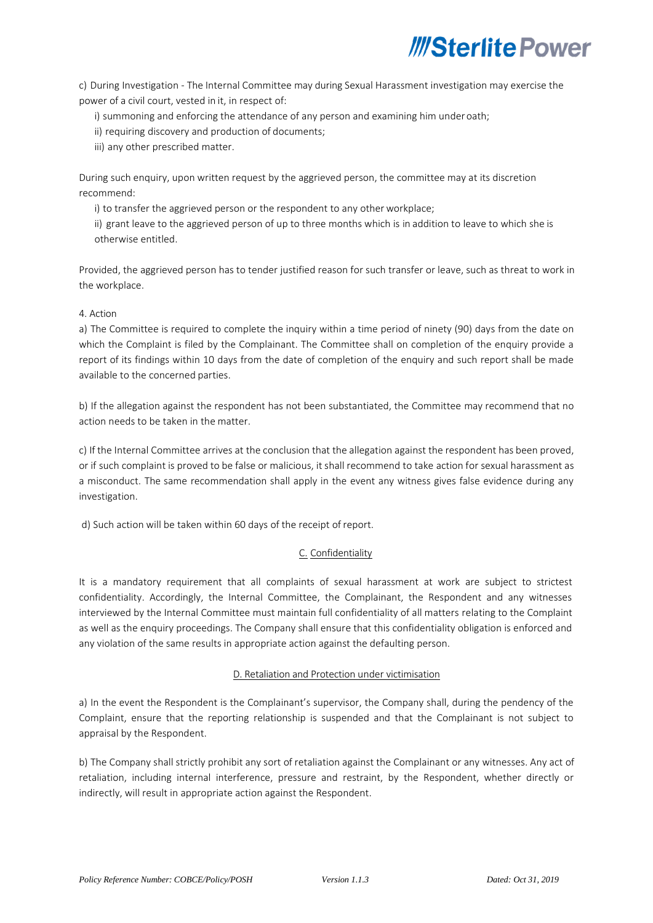c) During Investigation - The Internal Committee may during Sexual Harassment investigation may exercise the power of a civil court, vested in it, in respect of:

i) summoning and enforcing the attendance of any person and examining him underoath;

ii) requiring discovery and production of documents;

iii) any other prescribed matter.

During such enquiry, upon written request by the aggrieved person, the committee may at its discretion recommend:

i) to transfer the aggrieved person or the respondent to any other workplace;

ii) grant leave to the aggrieved person of up to three months which is in addition to leave to which she is otherwise entitled.

Provided, the aggrieved person has to tender justified reason for such transfer or leave, such as threat to work in the workplace.

#### 4. Action

a) The Committee is required to complete the inquiry within a time period of ninety (90) days from the date on which the Complaint is filed by the Complainant. The Committee shall on completion of the enquiry provide a report of its findings within 10 days from the date of completion of the enquiry and such report shall be made available to the concerned parties.

b) If the allegation against the respondent has not been substantiated, the Committee may recommend that no action needs to be taken in the matter.

c) If the Internal Committee arrives at the conclusion that the allegation against the respondent has been proved, or if such complaint is proved to be false or malicious, it shall recommend to take action for sexual harassment as a misconduct. The same recommendation shall apply in the event any witness gives false evidence during any investigation.

d) Such action will be taken within 60 days of the receipt of report.

## C. Confidentiality

It is a mandatory requirement that all complaints of sexual harassment at work are subject to strictest confidentiality. Accordingly, the Internal Committee, the Complainant, the Respondent and any witnesses interviewed by the Internal Committee must maintain full confidentiality of all matters relating to the Complaint as well as the enquiry proceedings. The Company shall ensure that this confidentiality obligation is enforced and any violation of the same results in appropriate action against the defaulting person.

#### D. Retaliation and Protection under victimisation

a) In the event the Respondent is the Complainant's supervisor, the Company shall, during the pendency of the Complaint, ensure that the reporting relationship is suspended and that the Complainant is not subject to appraisal by the Respondent.

b) The Company shall strictly prohibit any sort of retaliation against the Complainant or any witnesses. Any act of retaliation, including internal interference, pressure and restraint, by the Respondent, whether directly or indirectly, will result in appropriate action against the Respondent.